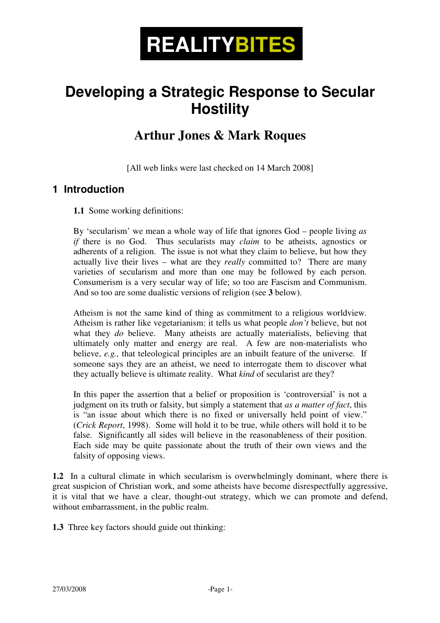

# **Developing a Strategic Response to Secular Hostility**

## **Arthur Jones & Mark Roques**

[All web links were last checked on 14 March 2008]

#### **1 Introduction**

**1.1** Some working definitions:

By 'secularism' we mean a whole way of life that ignores God – people living *as if* there is no God. Thus secularists may *claim* to be atheists, agnostics or adherents of a religion. The issue is not what they claim to believe, but how they actually live their lives – what are they *really* committed to? There are many varieties of secularism and more than one may be followed by each person. Consumerism is a very secular way of life; so too are Fascism and Communism. And so too are some dualistic versions of religion (see **3** below).

Atheism is not the same kind of thing as commitment to a religious worldview. Atheism is rather like vegetarianism: it tells us what people *don't* believe, but not what they *do* believe. Many atheists are actually materialists, believing that ultimately only matter and energy are real. A few are non-materialists who believe, *e.g.*, that teleological principles are an inbuilt feature of the universe. If someone says they are an atheist, we need to interrogate them to discover what they actually believe is ultimate reality. What *kind* of secularist are they?

In this paper the assertion that a belief or proposition is 'controversial' is not a judgment on its truth or falsity, but simply a statement that *as a matter of fact*, this is "an issue about which there is no fixed or universally held point of view." (*Crick Report*, 1998). Some will hold it to be true, while others will hold it to be false. Significantly all sides will believe in the reasonableness of their position. Each side may be quite passionate about the truth of their own views and the falsity of opposing views.

**1.2** In a cultural climate in which secularism is overwhelmingly dominant, where there is great suspicion of Christian work, and some atheists have become disrespectfully aggressive, it is vital that we have a clear, thought-out strategy, which we can promote and defend, without embarrassment, in the public realm.

**1.3** Three key factors should guide out thinking: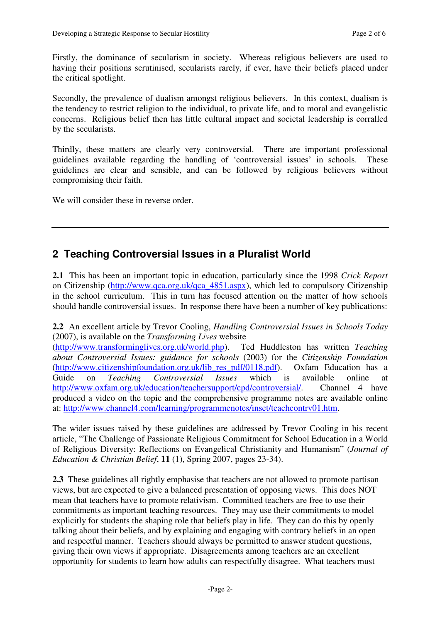Firstly, the dominance of secularism in society. Whereas religious believers are used to having their positions scrutinised, secularists rarely, if ever, have their beliefs placed under the critical spotlight.

Secondly, the prevalence of dualism amongst religious believers. In this context, dualism is the tendency to restrict religion to the individual, to private life, and to moral and evangelistic concerns. Religious belief then has little cultural impact and societal leadership is corralled by the secularists.

Thirdly, these matters are clearly very controversial. There are important professional guidelines available regarding the handling of 'controversial issues' in schools. These guidelines are clear and sensible, and can be followed by religious believers without compromising their faith.

We will consider these in reverse order.

#### **2 Teaching Controversial Issues in a Pluralist World**

**2.1** This has been an important topic in education, particularly since the 1998 *Crick Report* on Citizenship (http://www.qca.org.uk/qca\_4851.aspx), which led to compulsory Citizenship in the school curriculum. This in turn has focused attention on the matter of how schools should handle controversial issues. In response there have been a number of key publications:

**2.2** An excellent article by Trevor Cooling, *Handling Controversial Issues in Schools Today*  (2007), is available on the *Transforming Lives* website

(http://www.transforminglives.org.uk/world.php). Ted Huddleston has written *Teaching about Controversial Issues: guidance for schools* (2003) for the *Citizenship Foundation* (http://www.citizenshipfoundation.org.uk/lib\_res\_pdf/0118.pdf). Oxfam Education has a Guide on *Teaching Controversial Issues* which is available online at http://www.oxfam.org.uk/education/teachersupport/cpd/controversial/. Channel 4 have produced a video on the topic and the comprehensive programme notes are available online at: http://www.channel4.com/learning/programmenotes/inset/teachcontrv01.htm.

The wider issues raised by these guidelines are addressed by Trevor Cooling in his recent article, "The Challenge of Passionate Religious Commitment for School Education in a World of Religious Diversity: Reflections on Evangelical Christianity and Humanism" (*Journal of Education & Christian Belief*, **11** (1), Spring 2007, pages 23-34).

**2.3** These guidelines all rightly emphasise that teachers are not allowed to promote partisan views, but are expected to give a balanced presentation of opposing views. This does NOT mean that teachers have to promote relativism. Committed teachers are free to use their commitments as important teaching resources. They may use their commitments to model explicitly for students the shaping role that beliefs play in life. They can do this by openly talking about their beliefs, and by explaining and engaging with contrary beliefs in an open and respectful manner. Teachers should always be permitted to answer student questions, giving their own views if appropriate. Disagreements among teachers are an excellent opportunity for students to learn how adults can respectfully disagree. What teachers must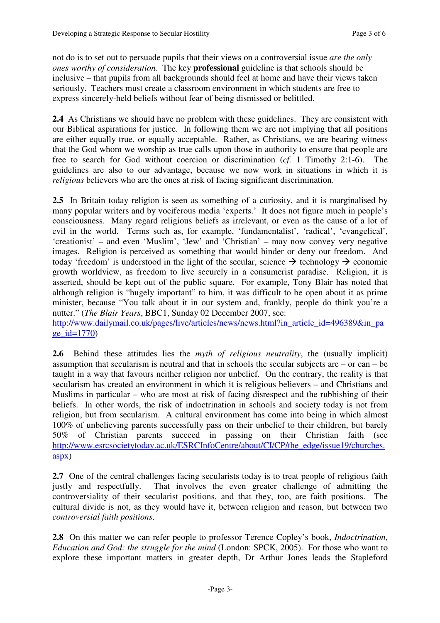not do is to set out to persuade pupils that their views on a controversial issue *are the only ones worthy of consideration*. The key **professional** guideline is that schools should be inclusive – that pupils from all backgrounds should feel at home and have their views taken seriously. Teachers must create a classroom environment in which students are free to express sincerely-held beliefs without fear of being dismissed or belittled.

**2.4** As Christians we should have no problem with these guidelines. They are consistent with our Biblical aspirations for justice. In following them we are not implying that all positions are either equally true, or equally acceptable. Rather, as Christians, we are bearing witness that the God whom we worship as true calls upon those in authority to ensure that people are free to search for God without coercion or discrimination (*cf.* 1 Timothy 2:1-6). The guidelines are also to our advantage, because we now work in situations in which it is *religious* believers who are the ones at risk of facing significant discrimination.

2.5 In Britain today religion is seen as something of a curiosity, and it is marginalised by many popular writers and by vociferous media 'experts.' It does not figure much in people's consciousness. Many regard religious beliefs as irrelevant, or even as the cause of a lot of evil in the world. Terms such as, for example, 'fundamentalist', 'radical', 'evangelical', 'creationist' – and even 'Muslim', 'Jew' and 'Christian' – may now convey very negative images. Religion is perceived as something that would hinder or deny our freedom. And today 'freedom' is understood in the light of the secular, science  $\rightarrow$  technology  $\rightarrow$  economic growth worldview, as freedom to live securely in a consumerist paradise. Religion, it is asserted, should be kept out of the public square. For example, Tony Blair has noted that although religion is "hugely important" to him, it was difficult to be open about it as prime minister, because "You talk about it in our system and, frankly, people do think you're a nutter." (*The Blair Years*, BBC1, Sunday 02 December 2007, see:

http://www.dailymail.co.uk/pages/live/articles/news/news.html?in\_article\_id=496389&in\_pa  $ge_id=1770$ 

**2.6** Behind these attitudes lies the *myth of religious neutrality*, the (usually implicit) assumption that secularism is neutral and that in schools the secular subjects are – or can – be taught in a way that favours neither religion nor unbelief. On the contrary, the reality is that secularism has created an environment in which it is religious believers – and Christians and Muslims in particular – who are most at risk of facing disrespect and the rubbishing of their beliefs. In other words, the risk of indoctrination in schools and society today is not from religion, but from secularism. A cultural environment has come into being in which almost 100% of unbelieving parents successfully pass on their unbelief to their children, but barely 50% of Christian parents succeed in passing on their Christian faith (see http://www.esrcsocietytoday.ac.uk/ESRCInfoCentre/about/CI/CP/the\_edge/issue19/churches. aspx)

2.7 One of the central challenges facing secularists today is to treat people of religious faith justly and respectfully. That involves the even greater challenge of admitting the controversiality of their secularist positions, and that they, too, are faith positions. The cultural divide is not, as they would have it, between religion and reason, but between two *controversial faith positions*.

**2.8** On this matter we can refer people to professor Terence Copley's book, *Indoctrination, Education and God: the struggle for the mind* (London: SPCK, 2005). For those who want to explore these important matters in greater depth, Dr Arthur Jones leads the Stapleford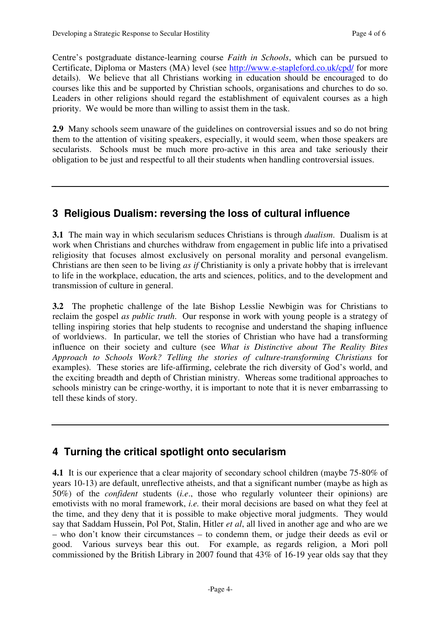Centre's postgraduate distance-learning course *Faith in Schools*, which can be pursued to Certificate, Diploma or Masters (MA) level (see http://www.e-stapleford.co.uk/cpd/ for more details). We believe that all Christians working in education should be encouraged to do courses like this and be supported by Christian schools, organisations and churches to do so. Leaders in other religions should regard the establishment of equivalent courses as a high priority. We would be more than willing to assist them in the task.

**2.9** Many schools seem unaware of the guidelines on controversial issues and so do not bring them to the attention of visiting speakers, especially, it would seem, when those speakers are secularists. Schools must be much more pro-active in this area and take seriously their obligation to be just and respectful to all their students when handling controversial issues.

#### **3 Religious Dualism: reversing the loss of cultural influence**

**3.1** The main way in which secularism seduces Christians is through *dualism*. Dualism is at work when Christians and churches withdraw from engagement in public life into a privatised religiosity that focuses almost exclusively on personal morality and personal evangelism. Christians are then seen to be living *as if* Christianity is only a private hobby that is irrelevant to life in the workplace, education, the arts and sciences, politics, and to the development and transmission of culture in general.

**3.2** The prophetic challenge of the late Bishop Lesslie Newbigin was for Christians to reclaim the gospel *as public truth*. Our response in work with young people is a strategy of telling inspiring stories that help students to recognise and understand the shaping influence of worldviews. In particular, we tell the stories of Christian who have had a transforming influence on their society and culture (see *What is Distinctive about The Reality Bites Approach to Schools Work? Telling the stories of culture-transforming Christians* for examples). These stories are life-affirming, celebrate the rich diversity of God's world, and the exciting breadth and depth of Christian ministry. Whereas some traditional approaches to schools ministry can be cringe-worthy, it is important to note that it is never embarrassing to tell these kinds of story.

### **4 Turning the critical spotlight onto secularism**

**4.1** It is our experience that a clear majority of secondary school children (maybe 75-80% of years 10-13) are default, unreflective atheists, and that a significant number (maybe as high as 50%) of the *confident* students (*i.e*., those who regularly volunteer their opinions) are emotivists with no moral framework, *i.e.* their moral decisions are based on what they feel at the time, and they deny that it is possible to make objective moral judgments. They would say that Saddam Hussein, Pol Pot, Stalin, Hitler *et al*, all lived in another age and who are we – who don't know their circumstances – to condemn them, or judge their deeds as evil or good. Various surveys bear this out. For example, as regards religion, a Mori poll commissioned by the British Library in 2007 found that 43% of 16-19 year olds say that they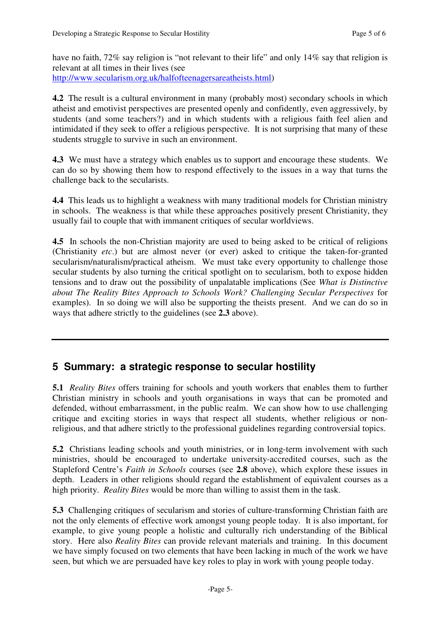have no faith, 72% say religion is "not relevant to their life" and only 14% say that religion is relevant at all times in their lives (see http://www.secularism.org.uk/halfofteenagersareatheists.html)

**4.2** The result is a cultural environment in many (probably most) secondary schools in which atheist and emotivist perspectives are presented openly and confidently, even aggressively, by students (and some teachers?) and in which students with a religious faith feel alien and intimidated if they seek to offer a religious perspective. It is not surprising that many of these students struggle to survive in such an environment.

**4.3** We must have a strategy which enables us to support and encourage these students. We can do so by showing them how to respond effectively to the issues in a way that turns the challenge back to the secularists.

**4.4** This leads us to highlight a weakness with many traditional models for Christian ministry in schools. The weakness is that while these approaches positively present Christianity, they usually fail to couple that with immanent critiques of secular worldviews.

**4.5** In schools the non-Christian majority are used to being asked to be critical of religions (Christianity *etc*.) but are almost never (or ever) asked to critique the taken-for-granted secularism/naturalism/practical atheism. We must take every opportunity to challenge those secular students by also turning the critical spotlight on to secularism, both to expose hidden tensions and to draw out the possibility of unpalatable implications (See *What is Distinctive about The Reality Bites Approach to Schools Work? Challenging Secular Perspectives* for examples). In so doing we will also be supporting the theists present. And we can do so in ways that adhere strictly to the guidelines (see **2.3** above).

#### **5 Summary: a strategic response to secular hostility**

**5.1** *Reality Bites* offers training for schools and youth workers that enables them to further Christian ministry in schools and youth organisations in ways that can be promoted and defended, without embarrassment, in the public realm. We can show how to use challenging critique and exciting stories in ways that respect all students, whether religious or nonreligious, and that adhere strictly to the professional guidelines regarding controversial topics.

**5.2** Christians leading schools and youth ministries, or in long-term involvement with such ministries, should be encouraged to undertake university-accredited courses, such as the Stapleford Centre's *Faith in Schools* courses (see **2.8** above), which explore these issues in depth. Leaders in other religions should regard the establishment of equivalent courses as a high priority. *Reality Bites* would be more than willing to assist them in the task.

**5.3** Challenging critiques of secularism and stories of culture-transforming Christian faith are not the only elements of effective work amongst young people today. It is also important, for example, to give young people a holistic and culturally rich understanding of the Biblical story. Here also *Reality Bites* can provide relevant materials and training. In this document we have simply focused on two elements that have been lacking in much of the work we have seen, but which we are persuaded have key roles to play in work with young people today.